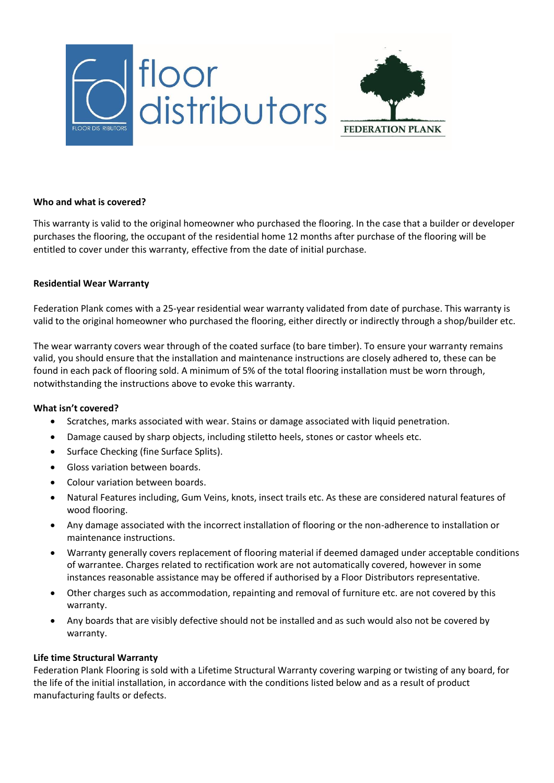



#### **Who and what is covered?**

This warranty is valid to the original homeowner who purchased the flooring. In the case that a builder or developer purchases the flooring, the occupant of the residential home 12 months after purchase of the flooring will be entitled to cover under this warranty, effective from the date of initial purchase.

#### **Residential Wear Warranty**

Federation Plank comes with a 25-year residential wear warranty validated from date of purchase. This warranty is valid to the original homeowner who purchased the flooring, either directly or indirectly through a shop/builder etc.

The wear warranty covers wear through of the coated surface (to bare timber). To ensure your warranty remains valid, you should ensure that the installation and maintenance instructions are closely adhered to, these can be found in each pack of flooring sold. A minimum of 5% of the total flooring installation must be worn through, notwithstanding the instructions above to evoke this warranty.

#### **What isn't covered?**

- Scratches, marks associated with wear. Stains or damage associated with liquid penetration.
- Damage caused by sharp objects, including stiletto heels, stones or castor wheels etc.
- Surface Checking (fine Surface Splits).
- Gloss variation between boards.
- Colour variation between boards.
- Natural Features including, Gum Veins, knots, insect trails etc. As these are considered natural features of wood flooring.
- Any damage associated with the incorrect installation of flooring or the non-adherence to installation or maintenance instructions.
- Warranty generally covers replacement of flooring material if deemed damaged under acceptable conditions of warrantee. Charges related to rectification work are not automatically covered, however in some instances reasonable assistance may be offered if authorised by a Floor Distributors representative.
- Other charges such as accommodation, repainting and removal of furniture etc. are not covered by this warranty.
- Any boards that are visibly defective should not be installed and as such would also not be covered by warranty.

## **Life time Structural Warranty**

Federation Plank Flooring is sold with a Lifetime Structural Warranty covering warping or twisting of any board, for the life of the initial installation, in accordance with the conditions listed below and as a result of product manufacturing faults or defects.